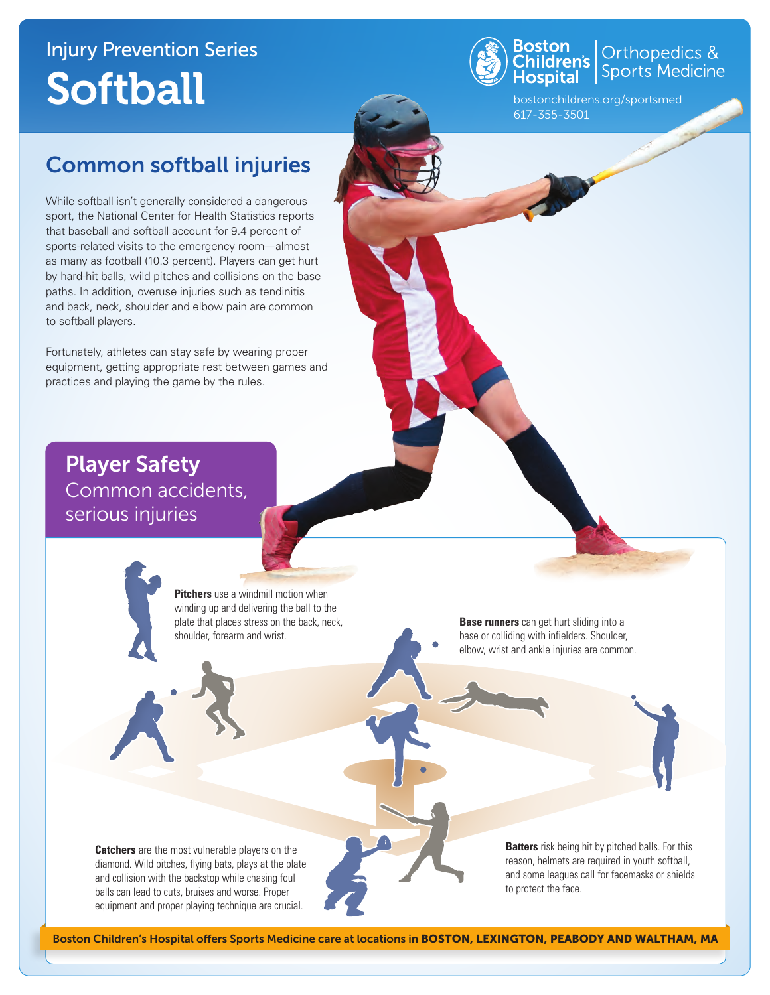# Injury Prevention Series **Softball**



Orthopedics &<br>Sports Medicine

bostonchildrens.org/sportsmed 617-355-3501

### Common softball injuries

While softball isn't generally considered a dangerous sport, the National Center for Health Statistics reports that baseball and softball account for 9.4 percent of sports-related visits to the emergency room—almost as many as football (10.3 percent). Players can get hurt by hard-hit balls, wild pitches and collisions on the base paths. In addition, overuse injuries such as tendinitis and back, neck, shoulder and elbow pain are common to softball players.

Fortunately, athletes can stay safe by wearing proper equipment, getting appropriate rest between games and practices and playing the game by the rules.

Player Safety Common accidents, serious injuries

> **Pitchers** use a windmill motion when winding up and delivering the ball to the plate that places stress on the back, neck, shoulder, forearm and wrist.

**Base runners** can get hurt sliding into a base or colliding with infielders. Shoulder, elbow, wrist and ankle injuries are common.

**Catchers** are the most vulnerable players on the diamond. Wild pitches, flying bats, plays at the plate and collision with the backstop while chasing foul balls can lead to cuts, bruises and worse. Proper equipment and proper playing technique are crucial.

**Batters** risk being hit by pitched balls. For this reason, helmets are required in youth softball, and some leagues call for facemasks or shields to protect the face.

Boston Children's Hospital offers Sports Medicine care at locations in BOSTON, LEXINGTON, PEABODY AND WALTHAM, MA